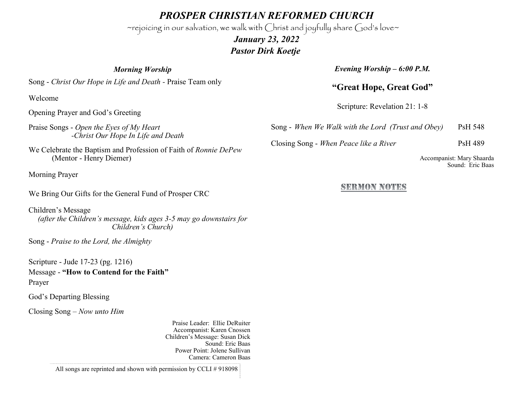*PROSPER CHRISTIAN REFORMED CHURCH*

~rejoicing in our salvation, we walk with Christ and joyfully share God's love~

 *January 23, 2022 Pastor Dirk Koetje* 

*Morning Worship*

*Evening Worship – 6:00 P.M.*

## **"Great Hope, Great God"**

Scripture: Revelation 21: 1-8

Song - *When We Walk with the Lord (Trust and Obey)* PsH 548

Closing Song - *When Peace like a River* PsH 489

Accompanist: Mary Shaarda Sound: Eric Baas

## SEEMON NOTES

Song - *Christ Our Hope in Life and Death -* Praise Team only

Welcome

Opening Prayer and God's Greeting

Praise Songs - *Open the Eyes of My Heart -Christ Our Hope In Life and Death*

We Celebrate the Baptism and Profession of Faith of *Ronnie DePew*  (Mentor - Henry Diemer)

Morning Prayer

We Bring Our Gifts for the General Fund of Prosper CRC

Children's Message *(after the Children's message, kids ages 3-5 may go downstairs for Children's Church)*

Song - *Praise to the Lord, the Almighty*

Scripture - Jude 17-23 (pg. 1216) Message - **"How to Contend for the Faith"** Prayer

God's Departing Blessing

Closing Song – *Now unto Him*

Praise Leader: Ellie DeRuiter Accompanist: Karen Cnossen Children's Message: Susan Dick Sound: Eric Baas Power Point: Jolene Sullivan Camera: Cameron Baas

All songs are reprinted and shown with permission by CCLI # 918098